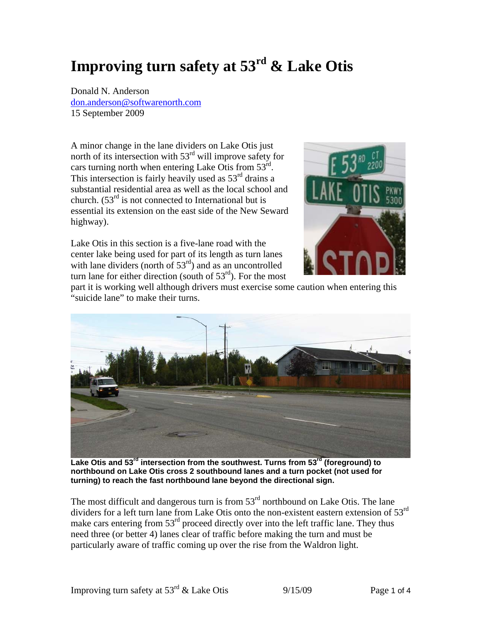## **Improving turn safety at 53rd & Lake Otis**

Donald N. Anderson don.anderson@softwarenorth.com 15 September 2009

A minor change in the lane dividers on Lake Otis just north of its intersection with  $53<sup>rd</sup>$  will improve safety for cars turning north when entering Lake Otis from  $53<sup>rd</sup>$ . This intersection is fairly heavily used as  $53<sup>rd</sup>$  drains a substantial residential area as well as the local school and church.  $(53<sup>rd</sup>$  is not connected to International but is essential its extension on the east side of the New Seward highway).





Lake Otis in this section is a five-lane road with the center lake being used for part of its length as turn lanes with lane dividers (north of  $53<sup>rd</sup>$ ) and as an uncontrolled turn lane for either direction (south of  $53<sup>rd</sup>$ ). For the most

part it is working well although drivers must exercise some caution when entering this "suicide lane" to make their turns.



Lake Otis and 53<sup>rd</sup> intersection from the southwest. Turns from 53<sup>rd</sup> (foreground) to **northbound on Lake Otis cross 2 southbound lanes and a turn pocket (not used for turning) to reach the fast northbound lane beyond the directional sign.** 

The most difficult and dangerous turn is from  $53<sup>rd</sup>$  northbound on Lake Otis. The lane dividers for a left turn lane from Lake Otis onto the non-existent eastern extension of 53<sup>rd</sup> make cars entering from  $53<sup>rd</sup>$  proceed directly over into the left traffic lane. They thus need three (or better 4) lanes clear of traffic before making the turn and must be particularly aware of traffic coming up over the rise from the Waldron light.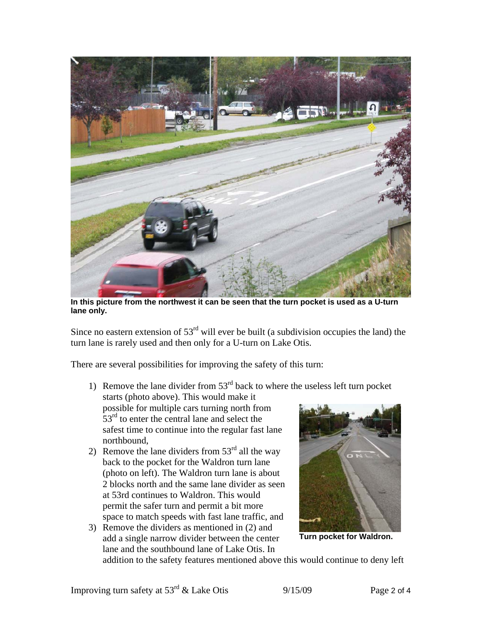

**In this picture from the northwest it can be seen that the turn pocket is used as a U-turn lane only.** 

Since no eastern extension of  $53<sup>rd</sup>$  will ever be built (a subdivision occupies the land) the turn lane is rarely used and then only for a U-turn on Lake Otis.

There are several possibilities for improving the safety of this turn:

- 1) Remove the lane divider from  $53<sup>rd</sup>$  back to where the useless left turn pocket starts (photo above). This would make it possible for multiple cars turning north from  $53<sup>rd</sup>$  to enter the central lane and select the safest time to continue into the regular fast lane northbound,
- 2) Remove the lane dividers from  $53<sup>rd</sup>$  all the way back to the pocket for the Waldron turn lane (photo on left). The Waldron turn lane is about 2 blocks north and the same lane divider as seen at 53rd continues to Waldron. This would permit the safer turn and permit a bit more space to match speeds with fast lane traffic, and
- 3) Remove the dividers as mentioned in (2) and add a single narrow divider between the center lane and the southbound lane of Lake Otis. In



**Turn pocket for Waldron.** 

addition to the safety features mentioned above this would continue to deny left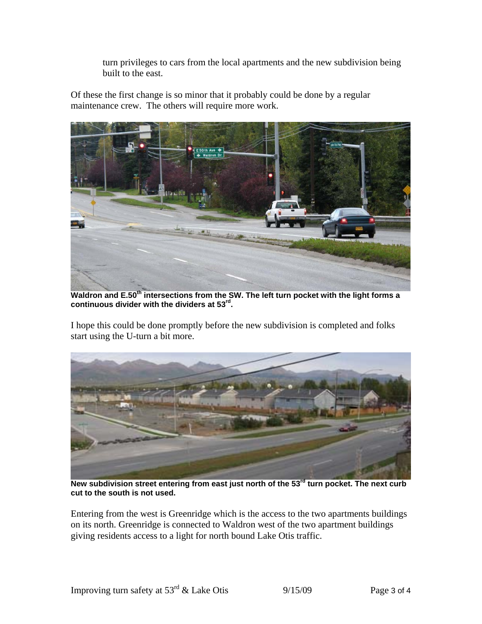turn privileges to cars from the local apartments and the new subdivision being built to the east.

Of these the first change is so minor that it probably could be done by a regular maintenance crew. The others will require more work.



Waldron and E.50<sup>th</sup> intersections from the SW. The left turn pocket with the light forms a **continuous divider with the dividers at 53rd.** 

I hope this could be done promptly before the new subdivision is completed and folks start using the U-turn a bit more.



New subdivision street entering from east just north of the 53<sup>rd</sup> turn pocket. The next curb **cut to the south is not used.** 

Entering from the west is Greenridge which is the access to the two apartments buildings on its north. Greenridge is connected to Waldron west of the two apartment buildings giving residents access to a light for north bound Lake Otis traffic.